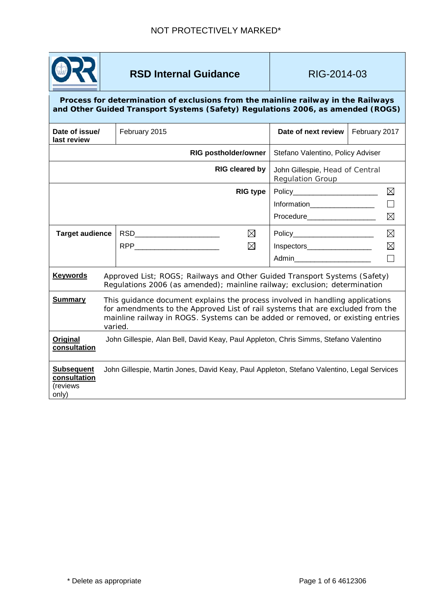

# **RSD Internal Guidance RIG-2014-03**

#### **Process for determination of exclusions from the mainline railway in the Railways and Other Guided Transport Systems (Safety) Regulations 2006, as amended (ROGS)**

| Date of issue/<br>last review                          |                                                                                            | February 2015                                                                                                                                                                                                                                                |                  | Date of next review                                                                                 | February 2017              |  |
|--------------------------------------------------------|--------------------------------------------------------------------------------------------|--------------------------------------------------------------------------------------------------------------------------------------------------------------------------------------------------------------------------------------------------------------|------------------|-----------------------------------------------------------------------------------------------------|----------------------------|--|
| <b>RIG postholder/owner</b>                            |                                                                                            |                                                                                                                                                                                                                                                              |                  | Stefano Valentino, Policy Adviser                                                                   |                            |  |
| <b>RIG cleared by</b>                                  |                                                                                            |                                                                                                                                                                                                                                                              |                  | John Gillespie, Head of Central<br><b>Regulation Group</b>                                          |                            |  |
|                                                        |                                                                                            |                                                                                                                                                                                                                                                              | <b>RIG type</b>  | Policy__________________________<br>Information___________________<br>Procedure____________________ | $\boxtimes$<br>$\boxtimes$ |  |
| <b>Target audience</b>                                 |                                                                                            | RSD___________________________<br>RPP <b>RPP RPP</b>                                                                                                                                                                                                         | $\boxtimes$<br>⊠ | Policy_________________________<br>Inspectors___________________<br>Admin                           | $\boxtimes$<br>$\boxtimes$ |  |
| <b>Keywords</b>                                        |                                                                                            | Approved List; ROGS; Railways and Other Guided Transport Systems (Safety)<br>Regulations 2006 (as amended); mainline railway; exclusion; determination                                                                                                       |                  |                                                                                                     |                            |  |
| <b>Summary</b>                                         |                                                                                            | This guidance document explains the process involved in handling applications<br>for amendments to the Approved List of rail systems that are excluded from the<br>mainline railway in ROGS. Systems can be added or removed, or existing entries<br>varied. |                  |                                                                                                     |                            |  |
| Original<br>consultation                               |                                                                                            | John Gillespie, Alan Bell, David Keay, Paul Appleton, Chris Simms, Stefano Valentino                                                                                                                                                                         |                  |                                                                                                     |                            |  |
| <b>Subsequent</b><br>consultation<br>(reviews<br>only) | John Gillespie, Martin Jones, David Keay, Paul Appleton, Stefano Valentino, Legal Services |                                                                                                                                                                                                                                                              |                  |                                                                                                     |                            |  |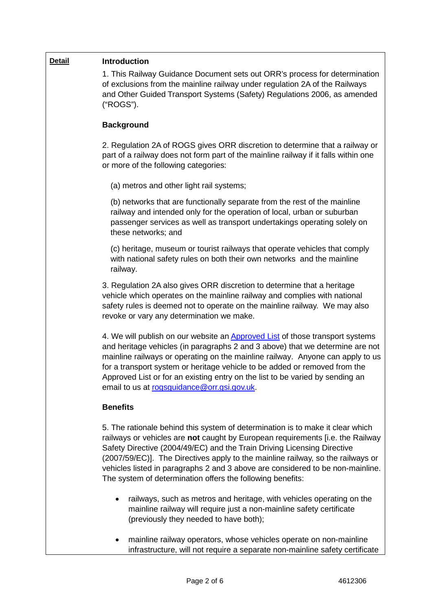| <b>Detail</b> | <b>Introduction</b>                                                                                                                                                                                                                                                                                                                                                                                                                                                            |  |  |  |  |
|---------------|--------------------------------------------------------------------------------------------------------------------------------------------------------------------------------------------------------------------------------------------------------------------------------------------------------------------------------------------------------------------------------------------------------------------------------------------------------------------------------|--|--|--|--|
|               | 1. This Railway Guidance Document sets out ORR's process for determination<br>of exclusions from the mainline railway under regulation 2A of the Railways<br>and Other Guided Transport Systems (Safety) Regulations 2006, as amended<br>("ROGS").                                                                                                                                                                                                                             |  |  |  |  |
|               | <b>Background</b>                                                                                                                                                                                                                                                                                                                                                                                                                                                              |  |  |  |  |
|               | 2. Regulation 2A of ROGS gives ORR discretion to determine that a railway or<br>part of a railway does not form part of the mainline railway if it falls within one<br>or more of the following categories:                                                                                                                                                                                                                                                                    |  |  |  |  |
|               | (a) metros and other light rail systems;                                                                                                                                                                                                                                                                                                                                                                                                                                       |  |  |  |  |
|               | (b) networks that are functionally separate from the rest of the mainline<br>railway and intended only for the operation of local, urban or suburban<br>passenger services as well as transport undertakings operating solely on<br>these networks; and                                                                                                                                                                                                                        |  |  |  |  |
|               | (c) heritage, museum or tourist railways that operate vehicles that comply<br>with national safety rules on both their own networks and the mainline<br>railway.                                                                                                                                                                                                                                                                                                               |  |  |  |  |
|               | 3. Regulation 2A also gives ORR discretion to determine that a heritage<br>vehicle which operates on the mainline railway and complies with national<br>safety rules is deemed not to operate on the mainline railway. We may also<br>revoke or vary any determination we make.                                                                                                                                                                                                |  |  |  |  |
|               | 4. We will publish on our website an Approved List of those transport systems<br>and heritage vehicles (in paragraphs 2 and 3 above) that we determine are not<br>mainline railways or operating on the mainline railway. Anyone can apply to us<br>for a transport system or heritage vehicle to be added or removed from the<br>Approved List or for an existing entry on the list to be varied by sending an<br>email to us at rogsguidance@orr.gsi.gov.uk.                 |  |  |  |  |
|               | <b>Benefits</b>                                                                                                                                                                                                                                                                                                                                                                                                                                                                |  |  |  |  |
|               | 5. The rationale behind this system of determination is to make it clear which<br>railways or vehicles are not caught by European requirements [i.e. the Railway<br>Safety Directive (2004/49/EC) and the Train Driving Licensing Directive<br>(2007/59/EC)]. The Directives apply to the mainline railway, so the railways or<br>vehicles listed in paragraphs 2 and 3 above are considered to be non-mainline.<br>The system of determination offers the following benefits: |  |  |  |  |
|               | railways, such as metros and heritage, with vehicles operating on the<br>$\bullet$<br>mainline railway will require just a non-mainline safety certificate<br>(previously they needed to have both);                                                                                                                                                                                                                                                                           |  |  |  |  |
|               | mainline railway operators, whose vehicles operate on non-mainline<br>infrastructure, will not require a separate non-mainline safety certificate                                                                                                                                                                                                                                                                                                                              |  |  |  |  |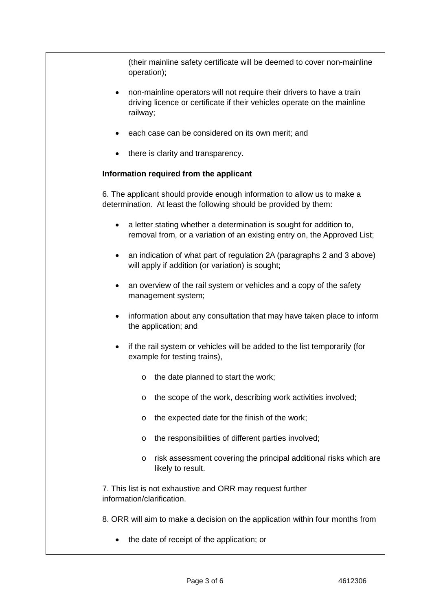(their mainline safety certificate will be deemed to cover non-mainline operation);

- non-mainline operators will not require their drivers to have a train driving licence or certificate if their vehicles operate on the mainline railway;
- each case can be considered on its own merit; and
- there is clarity and transparency.

## **Information required from the applicant**

6. The applicant should provide enough information to allow us to make a determination. At least the following should be provided by them:

- a letter stating whether a determination is sought for addition to, removal from, or a variation of an existing entry on, the Approved List;
- an indication of what part of regulation 2A (paragraphs 2 and 3 above) will apply if addition (or variation) is sought;
- an overview of the rail system or vehicles and a copy of the safety management system;
- information about any consultation that may have taken place to inform the application; and
- if the rail system or vehicles will be added to the list temporarily (for example for testing trains),
	- o the date planned to start the work;
	- o the scope of the work, describing work activities involved;
	- o the expected date for the finish of the work;
	- o the responsibilities of different parties involved;
	- o risk assessment covering the principal additional risks which are likely to result.

7. This list is not exhaustive and ORR may request further information/clarification.

8. ORR will aim to make a decision on the application within four months from

• the date of receipt of the application; or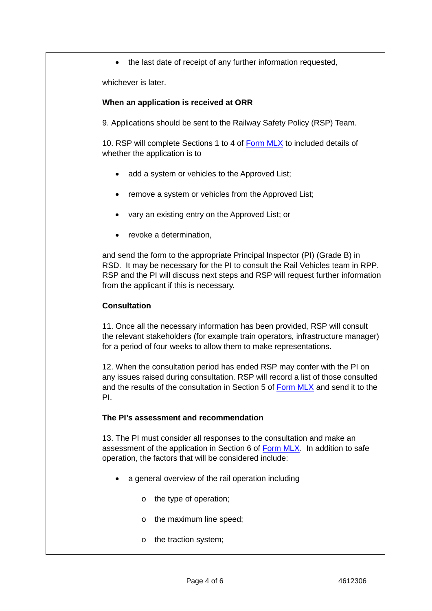• the last date of receipt of any further information requested,

whichever is later.

## **When an application is received at ORR**

9. Applications should be sent to the Railway Safety Policy (RSP) Team.

10. RSP will complete Sections 1 to 4 of [Form MLX](https://mosaic.orr.gov.uk/ecm/llisapi.dll?func=ll&objId=10712705&objAction=download) to included details of whether the application is to

- add a system or vehicles to the Approved List;
- remove a system or vehicles from the Approved List;
- vary an existing entry on the Approved List; or
- revoke a determination,

and send the form to the appropriate Principal Inspector (PI) (Grade B) in RSD. It may be necessary for the PI to consult the Rail Vehicles team in RPP. RSP and the PI will discuss next steps and RSP will request further information from the applicant if this is necessary.

## **Consultation**

11. Once all the necessary information has been provided, RSP will consult the relevant stakeholders (for example train operators, infrastructure manager) for a period of four weeks to allow them to make representations.

12. When the consultation period has ended RSP may confer with the PI on any issues raised during consultation. RSP will record a list of those consulted and the results of the consultation in Section 5 of [Form MLX](https://mosaic.orr.gov.uk/ecm/llisapi.dll?func=ll&objId=10712705&objAction=download) and send it to the PI.

### **The PI's assessment and recommendation**

13. The PI must consider all responses to the consultation and make an assessment of the application in Section 6 of [Form MLX.](https://mosaic.orr.gov.uk/ecm/llisapi.dll?func=ll&objId=10712705&objAction=download) In addition to safe operation, the factors that will be considered include:

- a general overview of the rail operation including
	- o the type of operation;
	- o the maximum line speed;
	- o the traction system;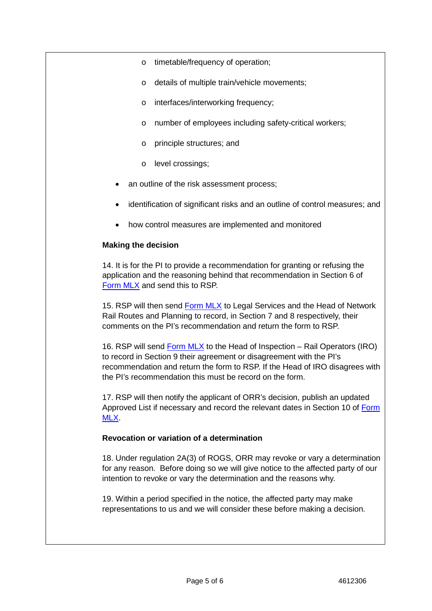- o timetable/frequency of operation;
- o details of multiple train/vehicle movements;
- o interfaces/interworking frequency;
- o number of employees including safety-critical workers;
- o principle structures; and
- o level crossings;
- an outline of the risk assessment process;
- identification of significant risks and an outline of control measures; and
- how control measures are implemented and monitored

### **Making the decision**

14. It is for the PI to provide a recommendation for granting or refusing the application and the reasoning behind that recommendation in Section 6 of [Form MLX](https://mosaic.orr.gov.uk/ecm/llisapi.dll?func=ll&objId=10712705&objAction=download) and send this to RSP.

15. RSP will then send [Form MLX](https://mosaic.orr.gov.uk/ecm/llisapi.dll?func=ll&objId=10712705&objAction=download) to Legal Services and the Head of Network Rail Routes and Planning to record, in Section 7 and 8 respectively, their comments on the PI's recommendation and return the form to RSP.

16. RSP will send [Form MLX](https://mosaic.orr.gov.uk/ecm/llisapi.dll?func=ll&objId=10712705&objAction=download) to the Head of Inspection – Rail Operators (IRO) to record in Section 9 their agreement or disagreement with the PI's recommendation and return the form to RSP. If the Head of IRO disagrees with the PI's recommendation this must be record on the form.

17. RSP will then notify the applicant of ORR's decision, publish an updated Approved List if necessary and record the relevant dates in Section 10 of [Form](https://mosaic.orr.gov.uk/ecm/llisapi.dll?func=ll&objId=10712705&objAction=download)  [MLX.](https://mosaic.orr.gov.uk/ecm/llisapi.dll?func=ll&objId=10712705&objAction=download)

### **Revocation or variation of a determination**

18. Under regulation 2A(3) of ROGS, ORR may revoke or vary a determination for any reason. Before doing so we will give notice to the affected party of our intention to revoke or vary the determination and the reasons why.

19. Within a period specified in the notice, the affected party may make representations to us and we will consider these before making a decision.